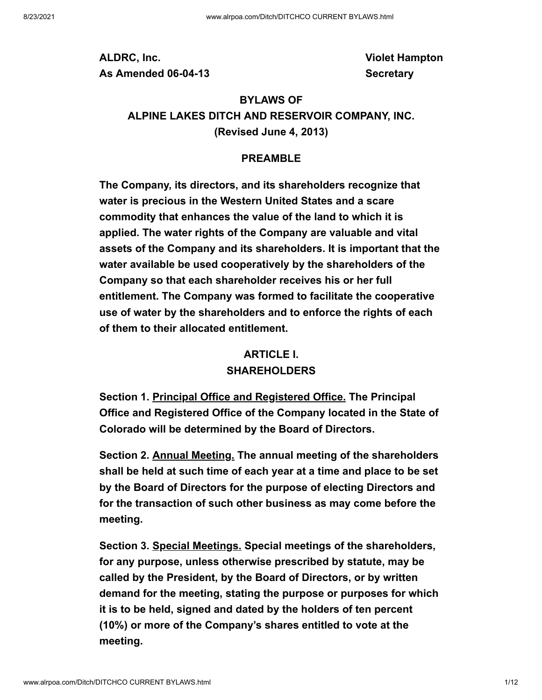**ALDRC, Inc. As Amended 06-04-13** **Violet Hampton Secretary**

# **BYLAWS OF ALPINE LAKES DITCH AND RESERVOIR COMPANY, INC. (Revised June 4, 2013)**

#### **PREAMBLE**

**The Company, its directors, and its shareholders recognize that water is precious in the Western United States and a scare commodity that enhances the value of the land to which it is applied. The water rights of the Company are valuable and vital assets of the Company and its shareholders. It is important that the water available be used cooperatively by the shareholders of the Company so that each shareholder receives his or her full entitlement. The Company was formed to facilitate the cooperative use of water by the shareholders and to enforce the rights of each of them to their allocated entitlement.**

#### **ARTICLE I. SHAREHOLDERS**

**Section 1. Principal Office and Registered Office. The Principal Office and Registered Office of the Company located in the State of Colorado will be determined by the Board of Directors.**

**Section 2. Annual Meeting. The annual meeting of the shareholders shall be held at such time of each year at a time and place to be set by the Board of Directors for the purpose of electing Directors and for the transaction of such other business as may come before the meeting.**

**Section 3. Special Meetings. Special meetings of the shareholders, for any purpose, unless otherwise prescribed by statute, may be called by the President, by the Board of Directors, or by written demand for the meeting, stating the purpose or purposes for which it is to be held, signed and dated by the holders of ten percent (10%) or more of the Company's shares entitled to vote at the meeting.**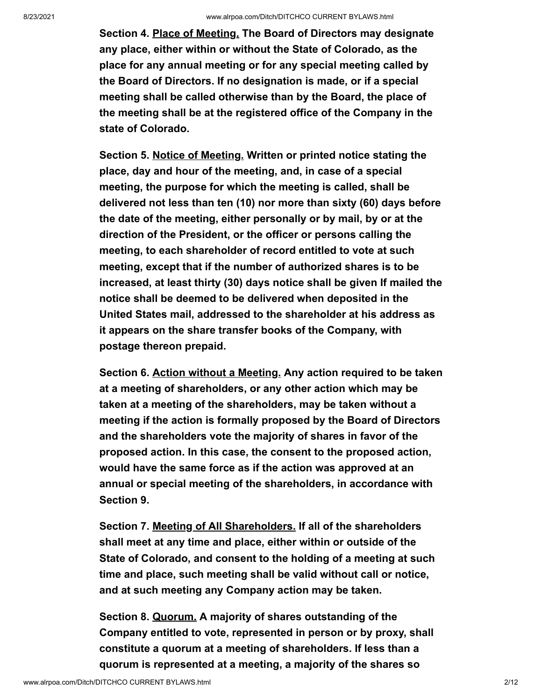**Section 4. Place of Meeting. The Board of Directors may designate any place, either within or without the State of Colorado, as the place for any annual meeting or for any special meeting called by the Board of Directors. If no designation is made, or if a special meeting shall be called otherwise than by the Board, the place of the meeting shall be at the registered office of the Company in the state of Colorado.**

**Section 5. Notice of Meeting. Written or printed notice stating the place, day and hour of the meeting, and, in case of a special meeting, the purpose for which the meeting is called, shall be delivered not less than ten (10) nor more than sixty (60) days before the date of the meeting, either personally or by mail, by or at the direction of the President, or the officer or persons calling the meeting, to each shareholder of record entitled to vote at such meeting, except that if the number of authorized shares is to be increased, at least thirty (30) days notice shall be given If mailed the notice shall be deemed to be delivered when deposited in the United States mail, addressed to the shareholder at his address as it appears on the share transfer books of the Company, with postage thereon prepaid.**

**Section 6. Action without a Meeting. Any action required to be taken at a meeting of shareholders, or any other action which may be taken at a meeting of the shareholders, may be taken without a meeting if the action is formally proposed by the Board of Directors and the shareholders vote the majority of shares in favor of the proposed action. In this case, the consent to the proposed action, would have the same force as if the action was approved at an annual or special meeting of the shareholders, in accordance with Section 9.**

**Section 7. Meeting of All Shareholders. If all of the shareholders shall meet at any time and place, either within or outside of the State of Colorado, and consent to the holding of a meeting at such time and place, such meeting shall be valid without call or notice, and at such meeting any Company action may be taken.**

**Section 8. Quorum. A majority of shares outstanding of the Company entitled to vote, represented in person or by proxy, shall constitute a quorum at a meeting of shareholders. If less than a quorum is represented at a meeting, a majority of the shares so**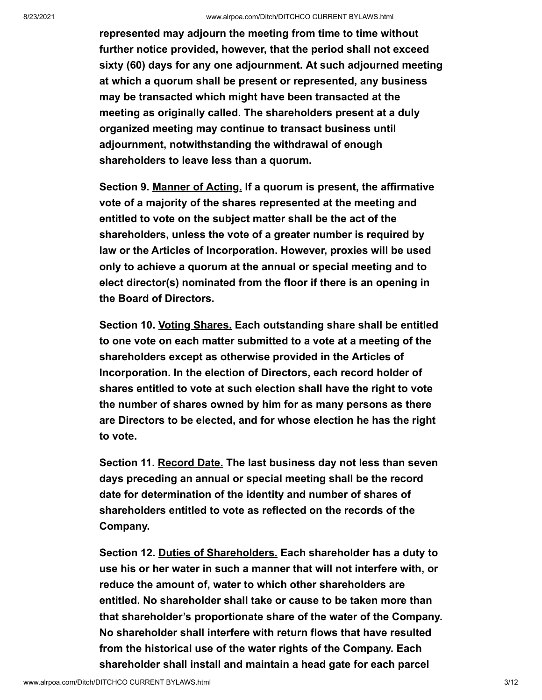**represented may adjourn the meeting from time to time without further notice provided, however, that the period shall not exceed sixty (60) days for any one adjournment. At such adjourned meeting at which a quorum shall be present or represented, any business may be transacted which might have been transacted at the meeting as originally called. The shareholders present at a duly organized meeting may continue to transact business until adjournment, notwithstanding the withdrawal of enough shareholders to leave less than a quorum.**

**Section 9. Manner of Acting. If a quorum is present, the affirmative vote of a majority of the shares represented at the meeting and entitled to vote on the subject matter shall be the act of the shareholders, unless the vote of a greater number is required by law or the Articles of Incorporation. However, proxies will be used only to achieve a quorum at the annual or special meeting and to elect director(s) nominated from the floor if there is an opening in the Board of Directors.**

**Section 10. Voting Shares. Each outstanding share shall be entitled to one vote on each matter submitted to a vote at a meeting of the shareholders except as otherwise provided in the Articles of Incorporation. In the election of Directors, each record holder of shares entitled to vote at such election shall have the right to vote the number of shares owned by him for as many persons as there are Directors to be elected, and for whose election he has the right to vote.**

**Section 11. Record Date. The last business day not less than seven days preceding an annual or special meeting shall be the record date for determination of the identity and number of shares of shareholders entitled to vote as reflected on the records of the Company.**

**Section 12. Duties of Shareholders. Each shareholder has a duty to use his or her water in such a manner that will not interfere with, or reduce the amount of, water to which other shareholders are entitled. No shareholder shall take or cause to be taken more than that shareholder's proportionate share of the water of the Company. No shareholder shall interfere with return flows that have resulted from the historical use of the water rights of the Company. Each shareholder shall install and maintain a head gate for each parcel**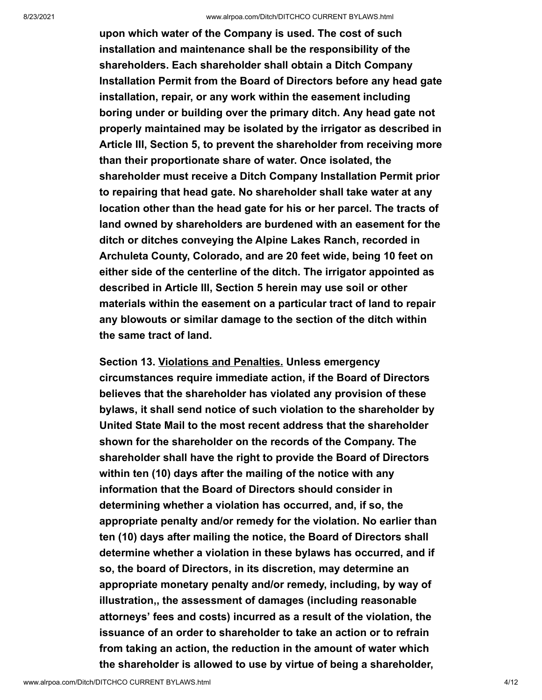**upon which water of the Company is used. The cost of such installation and maintenance shall be the responsibility of the shareholders. Each shareholder shall obtain a Ditch Company Installation Permit from the Board of Directors before any head gate installation, repair, or any work within the easement including boring under or building over the primary ditch. Any head gate not properly maintained may be isolated by the irrigator as described in Article III, Section 5, to prevent the shareholder from receiving more than their proportionate share of water. Once isolated, the shareholder must receive a Ditch Company Installation Permit prior to repairing that head gate. No shareholder shall take water at any location other than the head gate for his or her parcel. The tracts of land owned by shareholders are burdened with an easement for the ditch or ditches conveying the Alpine Lakes Ranch, recorded in Archuleta County, Colorado, and are 20 feet wide, being 10 feet on either side of the centerline of the ditch. The irrigator appointed as described in Article III, Section 5 herein may use soil or other materials within the easement on a particular tract of land to repair any blowouts or similar damage to the section of the ditch within the same tract of land.**

**Section 13. Violations and Penalties. Unless emergency circumstances require immediate action, if the Board of Directors believes that the shareholder has violated any provision of these bylaws, it shall send notice of such violation to the shareholder by United State Mail to the most recent address that the shareholder shown for the shareholder on the records of the Company. The shareholder shall have the right to provide the Board of Directors within ten (10) days after the mailing of the notice with any information that the Board of Directors should consider in determining whether a violation has occurred, and, if so, the appropriate penalty and/or remedy for the violation. No earlier than ten (10) days after mailing the notice, the Board of Directors shall determine whether a violation in these bylaws has occurred, and if so, the board of Directors, in its discretion, may determine an appropriate monetary penalty and/or remedy, including, by way of illustration,, the assessment of damages (including reasonable attorneys' fees and costs) incurred as a result of the violation, the issuance of an order to shareholder to take an action or to refrain from taking an action, the reduction in the amount of water which the shareholder is allowed to use by virtue of being a shareholder,**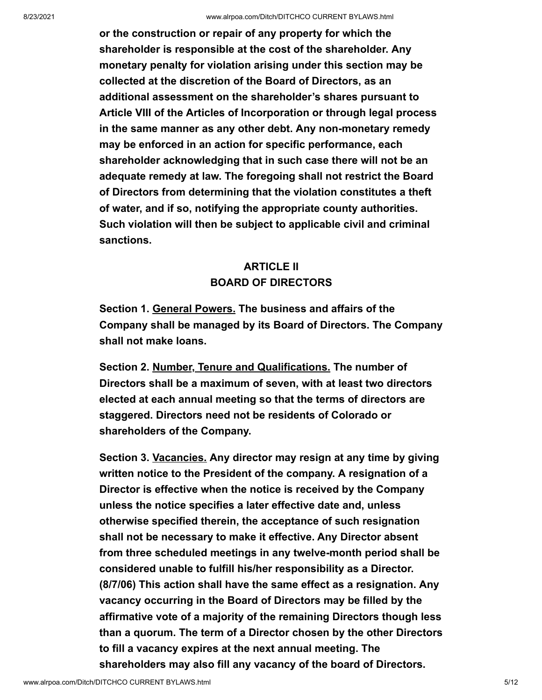**or the construction or repair of any property for which the shareholder is responsible at the cost of the shareholder. Any monetary penalty for violation arising under this section may be collected at the discretion of the Board of Directors, as an additional assessment on the shareholder's shares pursuant to Article VIII of the Articles of Incorporation or through legal process in the same manner as any other debt. Any non-monetary remedy may be enforced in an action for specific performance, each shareholder acknowledging that in such case there will not be an adequate remedy at law. The foregoing shall not restrict the Board of Directors from determining that the violation constitutes a theft of water, and if so, notifying the appropriate county authorities. Such violation will then be subject to applicable civil and criminal sanctions.**

### **ARTICLE II BOARD OF DIRECTORS**

**Section 1. General Powers. The business and affairs of the Company shall be managed by its Board of Directors. The Company shall not make loans.**

**Section 2. Number, Tenure and Qualifications. The number of Directors shall be a maximum of seven, with at least two directors elected at each annual meeting so that the terms of directors are staggered. Directors need not be residents of Colorado or shareholders of the Company.**

**Section 3. Vacancies. Any director may resign at any time by giving written notice to the President of the company. A resignation of a Director is effective when the notice is received by the Company unless the notice specifies a later effective date and, unless otherwise specified therein, the acceptance of such resignation shall not be necessary to make it effective. Any Director absent from three scheduled meetings in any twelve-month period shall be considered unable to fulfill his/her responsibility as a Director. (8/7/06) This action shall have the same effect as a resignation. Any vacancy occurring in the Board of Directors may be filled by the affirmative vote of a majority of the remaining Directors though less than a quorum. The term of a Director chosen by the other Directors to fill a vacancy expires at the next annual meeting. The shareholders may also fill any vacancy of the board of Directors.**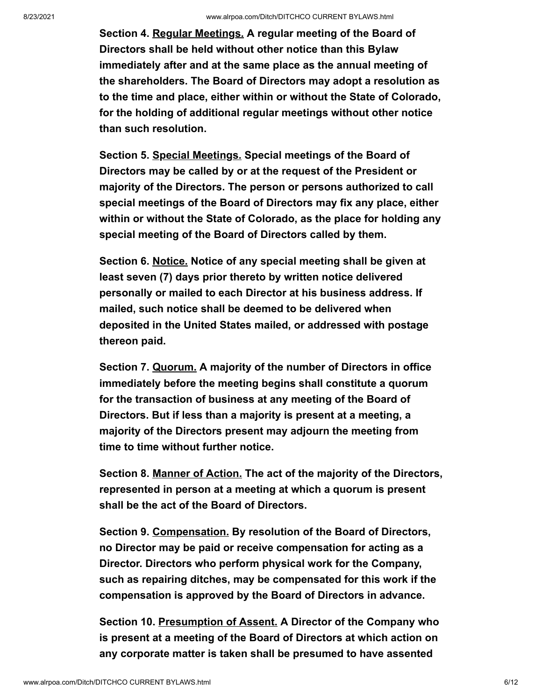**Section 4. Regular Meetings. A regular meeting of the Board of Directors shall be held without other notice than this Bylaw immediately after and at the same place as the annual meeting of the shareholders. The Board of Directors may adopt a resolution as to the time and place, either within or without the State of Colorado, for the holding of additional regular meetings without other notice than such resolution.**

**Section 5. Special Meetings. Special meetings of the Board of Directors may be called by or at the request of the President or majority of the Directors. The person or persons authorized to call special meetings of the Board of Directors may fix any place, either within or without the State of Colorado, as the place for holding any special meeting of the Board of Directors called by them.**

**Section 6. Notice. Notice of any special meeting shall be given at least seven (7) days prior thereto by written notice delivered personally or mailed to each Director at his business address. If mailed, such notice shall be deemed to be delivered when deposited in the United States mailed, or addressed with postage thereon paid.**

**Section 7. Quorum. A majority of the number of Directors in office immediately before the meeting begins shall constitute a quorum for the transaction of business at any meeting of the Board of Directors. But if less than a majority is present at a meeting, a majority of the Directors present may adjourn the meeting from time to time without further notice.**

**Section 8. Manner of Action. The act of the majority of the Directors, represented in person at a meeting at which a quorum is present shall be the act of the Board of Directors.**

**Section 9. Compensation. By resolution of the Board of Directors, no Director may be paid or receive compensation for acting as a Director. Directors who perform physical work for the Company, such as repairing ditches, may be compensated for this work if the compensation is approved by the Board of Directors in advance.**

**Section 10. Presumption of Assent. A Director of the Company who is present at a meeting of the Board of Directors at which action on any corporate matter is taken shall be presumed to have assented**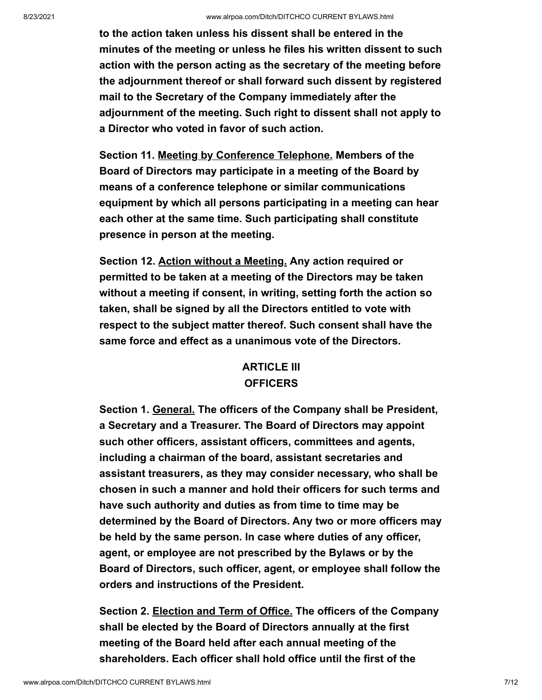**to the action taken unless his dissent shall be entered in the minutes of the meeting or unless he files his written dissent to such action with the person acting as the secretary of the meeting before the adjournment thereof or shall forward such dissent by registered mail to the Secretary of the Company immediately after the adjournment of the meeting. Such right to dissent shall not apply to a Director who voted in favor of such action.**

**Section 11. Meeting by Conference Telephone. Members of the Board of Directors may participate in a meeting of the Board by means of a conference telephone or similar communications equipment by which all persons participating in a meeting can hear each other at the same time. Such participating shall constitute presence in person at the meeting.**

**Section 12. Action without a Meeting. Any action required or permitted to be taken at a meeting of the Directors may be taken without a meeting if consent, in writing, setting forth the action so taken, shall be signed by all the Directors entitled to vote with respect to the subject matter thereof. Such consent shall have the same force and effect as a unanimous vote of the Directors.**

## **ARTICLE III OFFICERS**

**Section 1. General. The officers of the Company shall be President, a Secretary and a Treasurer. The Board of Directors may appoint such other officers, assistant officers, committees and agents, including a chairman of the board, assistant secretaries and assistant treasurers, as they may consider necessary, who shall be chosen in such a manner and hold their officers for such terms and have such authority and duties as from time to time may be determined by the Board of Directors. Any two or more officers may be held by the same person. In case where duties of any officer, agent, or employee are not prescribed by the Bylaws or by the Board of Directors, such officer, agent, or employee shall follow the orders and instructions of the President.**

**Section 2. Election and Term of Office. The officers of the Company shall be elected by the Board of Directors annually at the first meeting of the Board held after each annual meeting of the shareholders. Each officer shall hold office until the first of the**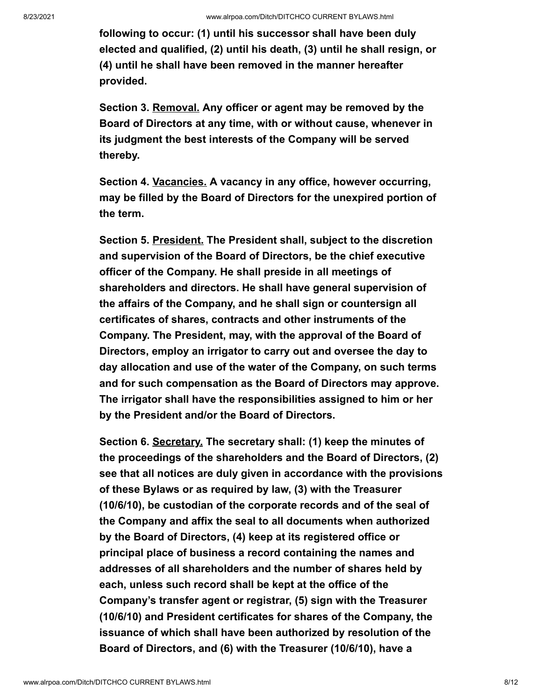**following to occur: (1) until his successor shall have been duly elected and qualified, (2) until his death, (3) until he shall resign, or (4) until he shall have been removed in the manner hereafter provided.**

**Section 3. Removal. Any officer or agent may be removed by the Board of Directors at any time, with or without cause, whenever in its judgment the best interests of the Company will be served thereby.**

**Section 4. Vacancies. A vacancy in any office, however occurring, may be filled by the Board of Directors for the unexpired portion of the term.**

**Section 5. President. The President shall, subject to the discretion and supervision of the Board of Directors, be the chief executive officer of the Company. He shall preside in all meetings of shareholders and directors. He shall have general supervision of the affairs of the Company, and he shall sign or countersign all certificates of shares, contracts and other instruments of the Company. The President, may, with the approval of the Board of Directors, employ an irrigator to carry out and oversee the day to day allocation and use of the water of the Company, on such terms and for such compensation as the Board of Directors may approve. The irrigator shall have the responsibilities assigned to him or her by the President and/or the Board of Directors.**

**Section 6. Secretary. The secretary shall: (1) keep the minutes of the proceedings of the shareholders and the Board of Directors, (2) see that all notices are duly given in accordance with the provisions of these Bylaws or as required by law, (3) with the Treasurer (10/6/10), be custodian of the corporate records and of the seal of the Company and affix the seal to all documents when authorized by the Board of Directors, (4) keep at its registered office or principal place of business a record containing the names and addresses of all shareholders and the number of shares held by each, unless such record shall be kept at the office of the Company's transfer agent or registrar, (5) sign with the Treasurer (10/6/10) and President certificates for shares of the Company, the issuance of which shall have been authorized by resolution of the Board of Directors, and (6) with the Treasurer (10/6/10), have a**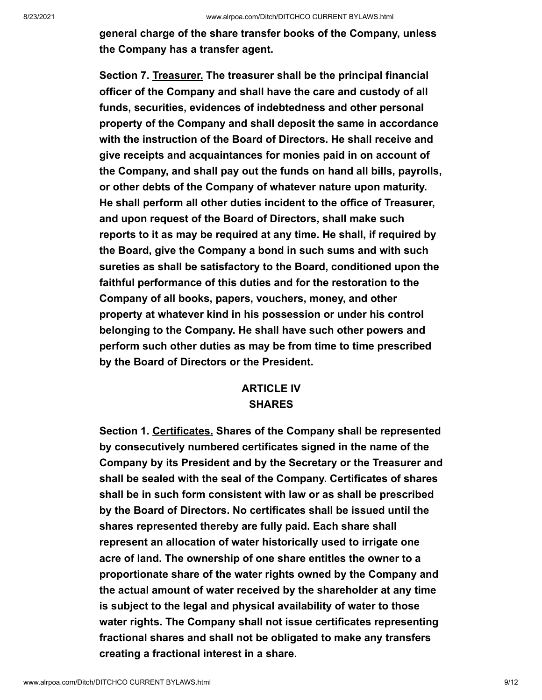**general charge of the share transfer books of the Company, unless the Company has a transfer agent.**

**Section 7. Treasurer. The treasurer shall be the principal financial officer of the Company and shall have the care and custody of all funds, securities, evidences of indebtedness and other personal property of the Company and shall deposit the same in accordance with the instruction of the Board of Directors. He shall receive and give receipts and acquaintances for monies paid in on account of the Company, and shall pay out the funds on hand all bills, payrolls, or other debts of the Company of whatever nature upon maturity. He shall perform all other duties incident to the office of Treasurer, and upon request of the Board of Directors, shall make such reports to it as may be required at any time. He shall, if required by the Board, give the Company a bond in such sums and with such sureties as shall be satisfactory to the Board, conditioned upon the faithful performance of this duties and for the restoration to the Company of all books, papers, vouchers, money, and other property at whatever kind in his possession or under his control belonging to the Company. He shall have such other powers and perform such other duties as may be from time to time prescribed by the Board of Directors or the President.**

### **ARTICLE IV SHARES**

**Section 1. Certificates. Shares of the Company shall be represented by consecutively numbered certificates signed in the name of the Company by its President and by the Secretary or the Treasurer and shall be sealed with the seal of the Company. Certificates of shares shall be in such form consistent with law or as shall be prescribed by the Board of Directors. No certificates shall be issued until the shares represented thereby are fully paid. Each share shall represent an allocation of water historically used to irrigate one acre of land. The ownership of one share entitles the owner to a proportionate share of the water rights owned by the Company and the actual amount of water received by the shareholder at any time is subject to the legal and physical availability of water to those water rights. The Company shall not issue certificates representing fractional shares and shall not be obligated to make any transfers creating a fractional interest in a share.**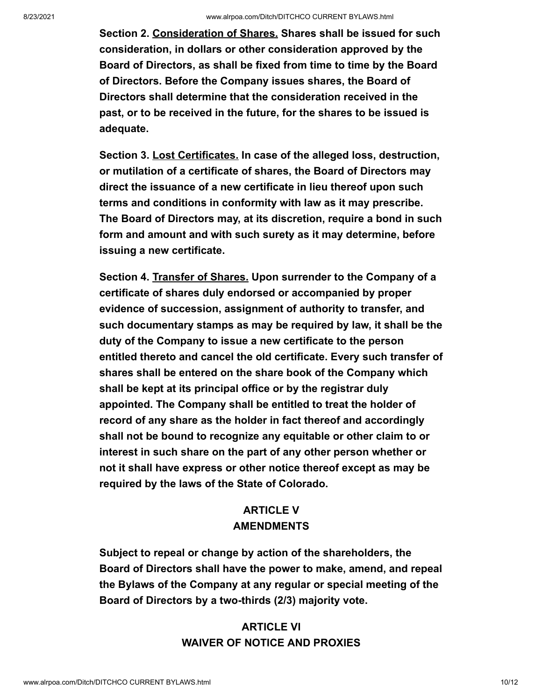**Section 2. Consideration of Shares. Shares shall be issued for such consideration, in dollars or other consideration approved by the Board of Directors, as shall be fixed from time to time by the Board of Directors. Before the Company issues shares, the Board of Directors shall determine that the consideration received in the past, or to be received in the future, for the shares to be issued is adequate.**

**Section 3. Lost Certificates. In case of the alleged loss, destruction, or mutilation of a certificate of shares, the Board of Directors may direct the issuance of a new certificate in lieu thereof upon such terms and conditions in conformity with law as it may prescribe. The Board of Directors may, at its discretion, require a bond in such form and amount and with such surety as it may determine, before issuing a new certificate.**

**Section 4. Transfer of Shares. Upon surrender to the Company of a certificate of shares duly endorsed or accompanied by proper evidence of succession, assignment of authority to transfer, and such documentary stamps as may be required by law, it shall be the duty of the Company to issue a new certificate to the person entitled thereto and cancel the old certificate. Every such transfer of shares shall be entered on the share book of the Company which shall be kept at its principal office or by the registrar duly appointed. The Company shall be entitled to treat the holder of record of any share as the holder in fact thereof and accordingly shall not be bound to recognize any equitable or other claim to or interest in such share on the part of any other person whether or not it shall have express or other notice thereof except as may be required by the laws of the State of Colorado.**

## **ARTICLE V AMENDMENTS**

**Subject to repeal or change by action of the shareholders, the Board of Directors shall have the power to make, amend, and repeal the Bylaws of the Company at any regular or special meeting of the Board of Directors by a two-thirds (2/3) majority vote.**

## **ARTICLE VI WAIVER OF NOTICE AND PROXIES**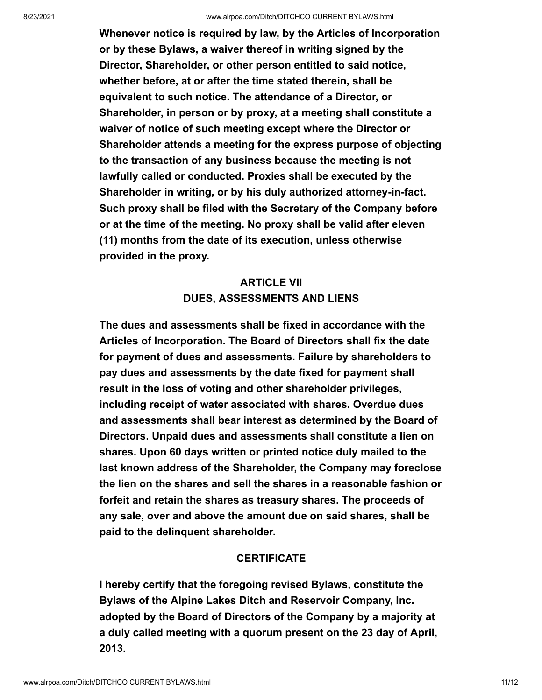**Whenever notice is required by law, by the Articles of Incorporation or by these Bylaws, a waiver thereof in writing signed by the Director, Shareholder, or other person entitled to said notice, whether before, at or after the time stated therein, shall be equivalent to such notice. The attendance of a Director, or Shareholder, in person or by proxy, at a meeting shall constitute a waiver of notice of such meeting except where the Director or Shareholder attends a meeting for the express purpose of objecting to the transaction of any business because the meeting is not lawfully called or conducted. Proxies shall be executed by the Shareholder in writing, or by his duly authorized attorney-in-fact. Such proxy shall be filed with the Secretary of the Company before or at the time of the meeting. No proxy shall be valid after eleven (11) months from the date of its execution, unless otherwise provided in the proxy.**

# **ARTICLE VII DUES, ASSESSMENTS AND LIENS**

**The dues and assessments shall be fixed in accordance with the Articles of Incorporation. The Board of Directors shall fix the date for payment of dues and assessments. Failure by shareholders to pay dues and assessments by the date fixed for payment shall result in the loss of voting and other shareholder privileges, including receipt of water associated with shares. Overdue dues and assessments shall bear interest as determined by the Board of Directors. Unpaid dues and assessments shall constitute a lien on shares. Upon 60 days written or printed notice duly mailed to the last known address of the Shareholder, the Company may foreclose the lien on the shares and sell the shares in a reasonable fashion or forfeit and retain the shares as treasury shares. The proceeds of any sale, over and above the amount due on said shares, shall be paid to the delinquent shareholder.**

#### **CERTIFICATE**

**I hereby certify that the foregoing revised Bylaws, constitute the Bylaws of the Alpine Lakes Ditch and Reservoir Company, Inc. adopted by the Board of Directors of the Company by a majority at a duly called meeting with a quorum present on the 23 day of April, 2013.**